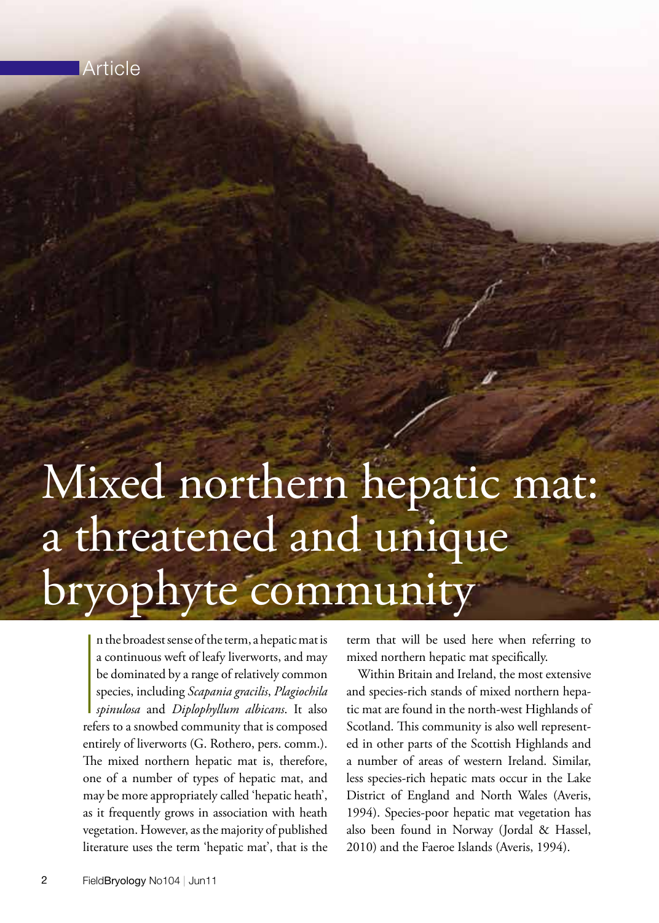

# Mixed northern hepatic mat: a threatened and unique bryophyte community

|<br>|<br>|<br>|<br>|<br>|<br>| n the broadest sense of the term, a hepatic mat is a continuous weft of leafy liverworts, and may be dominated by a range of relatively common species, including *Scapania gracilis*, *Plagiochila spinulosa* and *Diplophyllum albicans*. It also refers to a snowbed community that is composed entirely of liverworts (G. Rothero, pers. comm.). The mixed northern hepatic mat is, therefore, one of a number of types of hepatic mat, and may be more appropriately called 'hepatic heath', as it frequently grows in association with heath vegetation. However, as the majority of published literature uses the term 'hepatic mat', that is the

term that will be used here when referring to mixed northern hepatic mat specifically.

 Within Britain and Ireland, the most extensive and species-rich stands of mixed northern hepatic mat are found in the north-west Highlands of Scotland. This community is also well represented in other parts of the Scottish Highlands and a number of areas of western Ireland. Similar, less species-rich hepatic mats occur in the Lake District of England and North Wales (Averis, 1994). Species-poor hepatic mat vegetation has also been found in Norway (Jordal & Hassel, 2010) and the Faeroe Islands (Averis, 1994).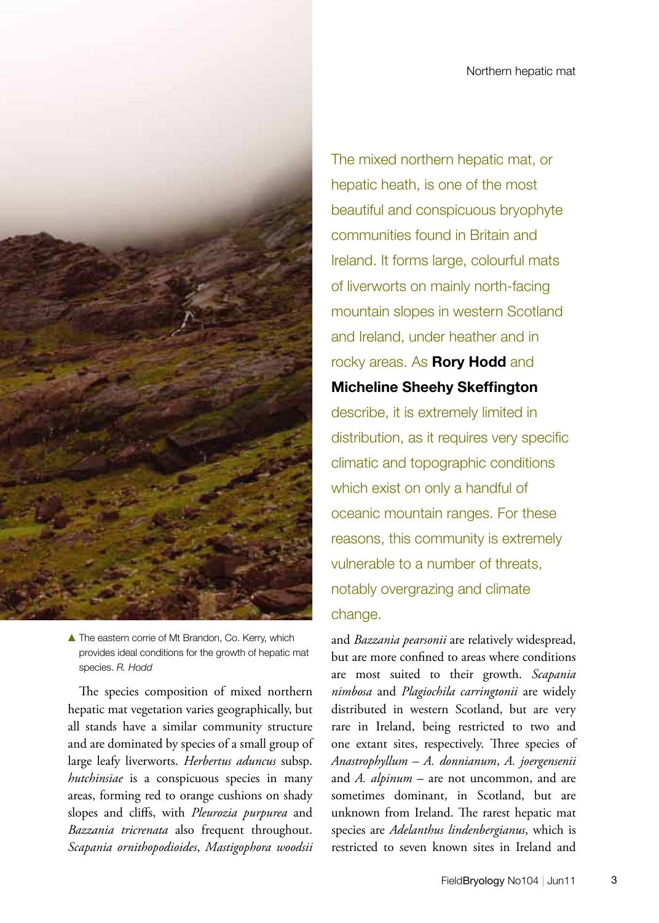

 $\blacktriangle$  The eastern corrie of Mt Brandon, Co. Kerry, which provides ideal conditions for the growth of hepatic mat species. *R. Hodd*

 The species composition of mixed northern hepatic mat vegetation varies geographically, but all stands have a similar community structure and are dominated by species of a small group of large leafy liverworts. *Herbertus aduncus* subsp. *hutchinsiae* is a conspicuous species in many areas, forming red to orange cushions on shady slopes and cliffs, with *Pleurozia purpurea* and *Bazzania tricrenata* also frequent throughout. *Scapania ornithopodioides*, *Mastigophora woodsii*  The mixed northern hepatic mat, or hepatic heath, is one of the most beautiful and conspicuous bryophyte communities found in Britain and Ireland. It forms large, colourful mats of liverworts on mainly north-facing mountain slopes in western Scotland and Ireland, under heather and in rocky areas. As **Rory Hodd** and **Micheline Sheehy Skeffington** describe, it is extremely limited in distribution, as it requires very specific climatic and topographic conditions which exist on only a handful of oceanic mountain ranges. For these reasons, this community is extremely vulnerable to a number of threats, notably overgrazing and climate change.

and *Bazzania pearsonii* are relatively widespread, but are more confined to areas where conditions are most suited to their growth. *Scapania nimbosa* and *Plagiochila carringtonii* are widely distributed in western Scotland, but are very rare in Ireland, being restricted to two and one extant sites, respectively. Three species of *Anastrophyllum* – *A. donnianum*, *A. joergensenii*  and *A. alpinum* – are not uncommon, and are sometimes dominant, in Scotland, but are unknown from Ireland. The rarest hepatic mat species are *Adelanthus lindenbergianus*, which is restricted to seven known sites in Ireland and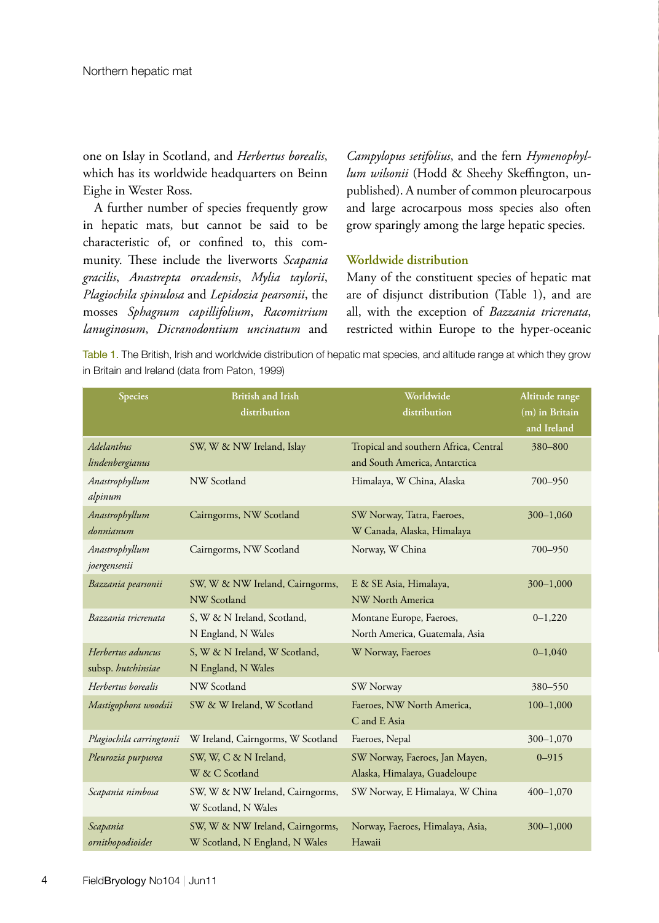one on Islay in Scotland, and *Herbertus borealis*, which has its worldwide headquarters on Beinn Eighe in Wester Ross.

 A further number of species frequently grow in hepatic mats, but cannot be said to be characteristic of, or confined to, this community. These include the liverworts *Scapania gracilis*, *Anastrepta orcadensis*, *Mylia taylorii*, *Plagiochila spinulosa* and *Lepidozia pearsonii*, the mosses *Sphagnum capillifolium*, *Racomitrium lanuginosum*, *Dicranodontium uncinatum* and

*Campylopus setifolius*, and the fern *Hymenophyllum wilsonii* (Hodd & Sheehy Skeffington, unpublished). A number of common pleurocarpous and large acrocarpous moss species also often grow sparingly among the large hepatic species.

## **Worldwide distribution**

Many of the constituent species of hepatic mat are of disjunct distribution (Table 1), and are all, with the exception of *Bazzania tricrenata*, restricted within Europe to the hyper-oceanic

Table 1. The British, Irish and worldwide distribution of hepatic mat species, and altitude range at which they grow in Britain and Ireland (data from Paton, 1999)

| <b>Species</b>                          | <b>British and Irish</b><br>distribution                          | Worldwide<br>distribution                                              | Altitude range<br>$(m)$ in Britain<br>and Ireland |
|-----------------------------------------|-------------------------------------------------------------------|------------------------------------------------------------------------|---------------------------------------------------|
| Adelanthus<br>lindenbergianus           | SW, W & NW Ireland, Islay                                         | Tropical and southern Africa, Central<br>and South America, Antarctica | 380-800                                           |
| Anastrophyllum<br>alpinum               | NW Scotland                                                       | Himalaya, W China, Alaska                                              | 700-950                                           |
| Anastrophyllum<br>donnianum             | Cairngorms, NW Scotland                                           | SW Norway, Tatra, Faeroes,<br>W Canada, Alaska, Himalaya               | 300-1,060                                         |
| Anastrophyllum<br>joergensenii          | Cairngorms, NW Scotland                                           | Norway, W China                                                        | 700-950                                           |
| Bazzania pearsonii                      | SW, W & NW Ireland, Cairngorms,<br>NW Scotland                    | E & SE Asia, Himalaya,<br>NW North America                             | 300-1,000                                         |
| Bazzania tricrenata                     | S, W & N Ireland, Scotland,<br>N England, N Wales                 | Montane Europe, Faeroes,<br>North America, Guatemala, Asia             | $0 - 1,220$                                       |
| Herbertus aduncus<br>subsp. hutchinsiae | S, W & N Ireland, W Scotland,<br>N England, N Wales               | W Norway, Faeroes                                                      | $0 - 1,040$                                       |
| Herbertus borealis                      | NW Scotland                                                       | SW Norway                                                              | 380-550                                           |
| Mastigophora woodsii                    | SW & W Ireland, W Scotland                                        | Faeroes, NW North America,<br>C and E Asia                             | $100 - 1,000$                                     |
| Plagiochila carringtonii                | W Ireland, Cairngorms, W Scotland                                 | Faeroes, Nepal                                                         | 300-1,070                                         |
| Pleurozia purpurea                      | SW, W, C & N Ireland,<br>W & C Scotland                           | SW Norway, Faeroes, Jan Mayen,<br>Alaska, Himalaya, Guadeloupe         | $0 - 915$                                         |
| Scapania nimbosa                        | SW, W & NW Ireland, Cairngorms,<br>W Scotland, N Wales            | SW Norway, E Himalaya, W China                                         | $400 - 1,070$                                     |
| Scapania<br>ornithopodioides            | SW, W & NW Ireland, Cairngorms,<br>W Scotland, N England, N Wales | Norway, Faeroes, Himalaya, Asia,<br>Hawaii                             | $300 - 1,000$                                     |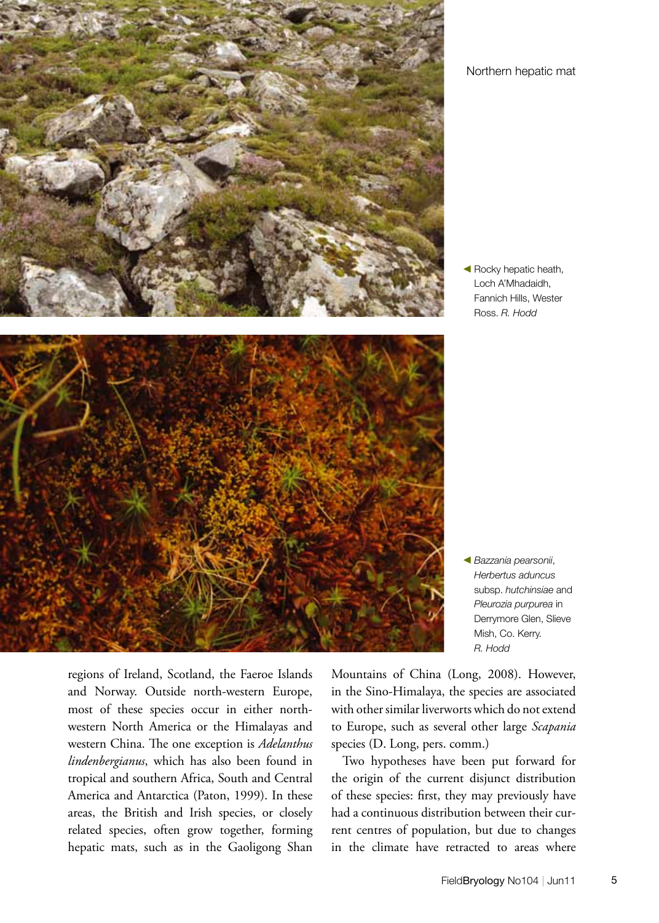

 $\blacktriangleleft$  Rocky hepatic heath, Loch A'Mhadaidh, Fannich Hills, Wester Ross. *R. Hodd*



b *Bazzania pearsonii*, *Herbertus aduncus* subsp. *hutchinsiae* and *Pleurozia purpurea* in Derrymore Glen, Slieve Mish, Co. Kerry. *R. Hodd*

regions of Ireland, Scotland, the Faeroe Islands and Norway. Outside north-western Europe, most of these species occur in either northwestern North America or the Himalayas and western China. The one exception is *Adelanthus lindenbergianus*, which has also been found in tropical and southern Africa, South and Central America and Antarctica (Paton, 1999). In these areas, the British and Irish species, or closely related species, often grow together, forming hepatic mats, such as in the Gaoligong Shan

Mountains of China (Long, 2008). However, in the Sino-Himalaya, the species are associated with other similar liverworts which do not extend to Europe, such as several other large *Scapania* species (D. Long, pers. comm.)

 Two hypotheses have been put forward for the origin of the current disjunct distribution of these species: first, they may previously have had a continuous distribution between their current centres of population, but due to changes in the climate have retracted to areas where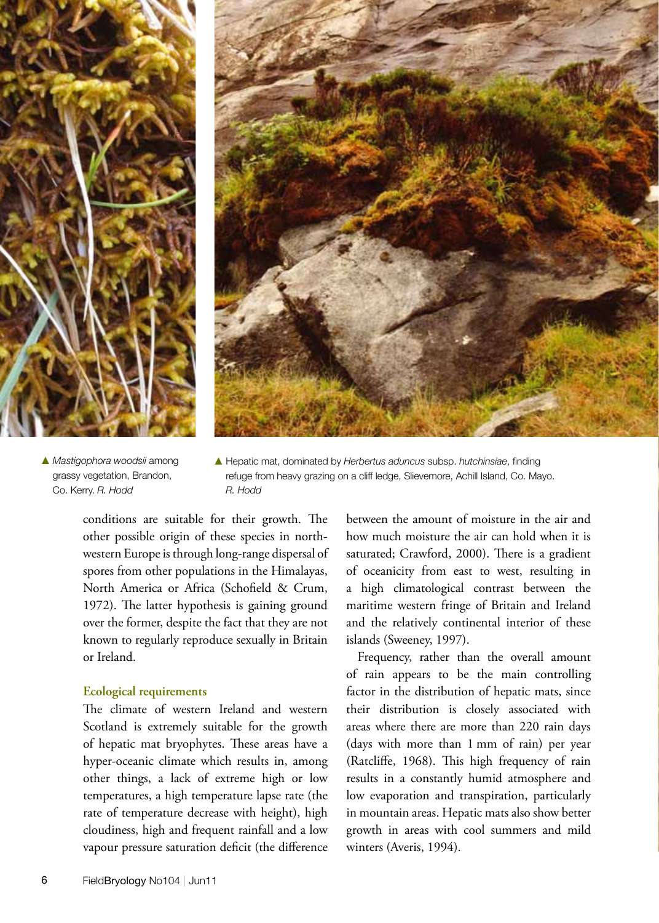



▲ *Mastigophora woodsii* among grassy vegetation, Brandon, Co. Kerry. *R. Hodd*

▲ Hepatic mat, dominated by *Herbertus aduncus* subsp. *hutchinsiae*, finding refuge from heavy grazing on a cliff ledge, Slievemore, Achill Island, Co. Mayo. *R. Hodd*

conditions are suitable for their growth. The other possible origin of these species in northwestern Europe is through long-range dispersal of spores from other populations in the Himalayas, North America or Africa (Schofield & Crum, 1972). The latter hypothesis is gaining ground over the former, despite the fact that they are not known to regularly reproduce sexually in Britain or Ireland.

## **Ecological requirements**

The climate of western Ireland and western Scotland is extremely suitable for the growth of hepatic mat bryophytes. These areas have a hyper-oceanic climate which results in, among other things, a lack of extreme high or low temperatures, a high temperature lapse rate (the rate of temperature decrease with height), high cloudiness, high and frequent rainfall and a low vapour pressure saturation deficit (the difference

between the amount of moisture in the air and how much moisture the air can hold when it is saturated; Crawford, 2000). There is a gradient of oceanicity from east to west, resulting in a high climatological contrast between the maritime western fringe of Britain and Ireland and the relatively continental interior of these islands (Sweeney, 1997).

 Frequency, rather than the overall amount of rain appears to be the main controlling factor in the distribution of hepatic mats, since their distribution is closely associated with areas where there are more than 220 rain days (days with more than 1 mm of rain) per year (Ratcliffe, 1968). This high frequency of rain results in a constantly humid atmosphere and low evaporation and transpiration, particularly in mountain areas. Hepatic mats also show better growth in areas with cool summers and mild winters (Averis, 1994).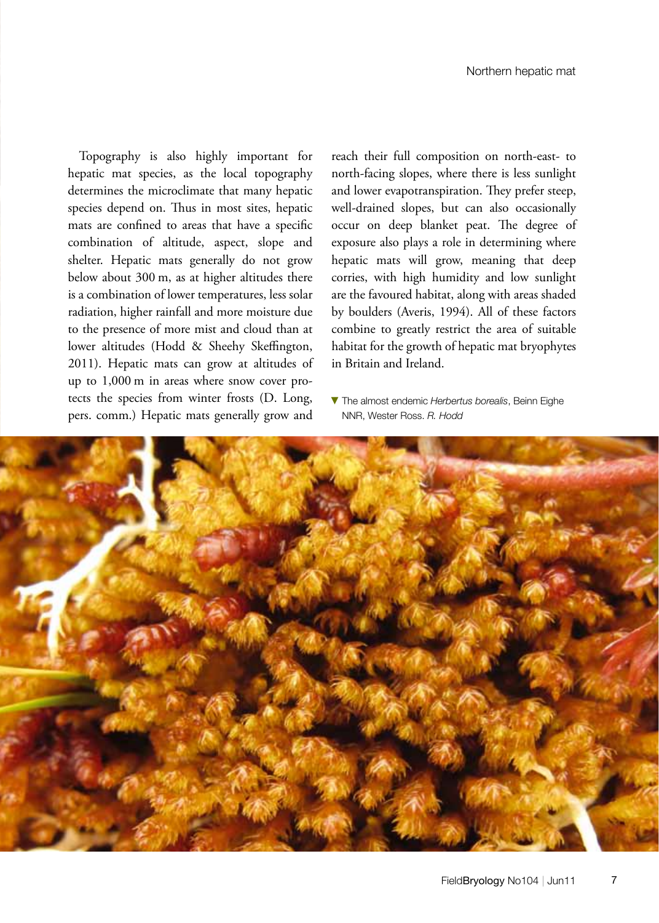Topography is also highly important for hepatic mat species, as the local topography determines the microclimate that many hepatic species depend on. Thus in most sites, hepatic mats are confined to areas that have a specific combination of altitude, aspect, slope and shelter. Hepatic mats generally do not grow below about 300 m, as at higher altitudes there is a combination of lower temperatures, less solar radiation, higher rainfall and more moisture due to the presence of more mist and cloud than at lower altitudes (Hodd & Sheehy Skeffington, 2011). Hepatic mats can grow at altitudes of up to 1,000 m in areas where snow cover protects the species from winter frosts (D. Long, pers. comm.) Hepatic mats generally grow and reach their full composition on north-east- to north-facing slopes, where there is less sunlight and lower evapotranspiration. They prefer steep, well-drained slopes, but can also occasionally occur on deep blanket peat. The degree of exposure also plays a role in determining where hepatic mats will grow, meaning that deep corries, with high humidity and low sunlight are the favoured habitat, along with areas shaded by boulders (Averis, 1994). All of these factors combine to greatly restrict the area of suitable habitat for the growth of hepatic mat bryophytes in Britain and Ireland.

**V** The almost endemic *Herbertus borealis*. Beinn Eighe NNR, Wester Ross. *R. Hodd*

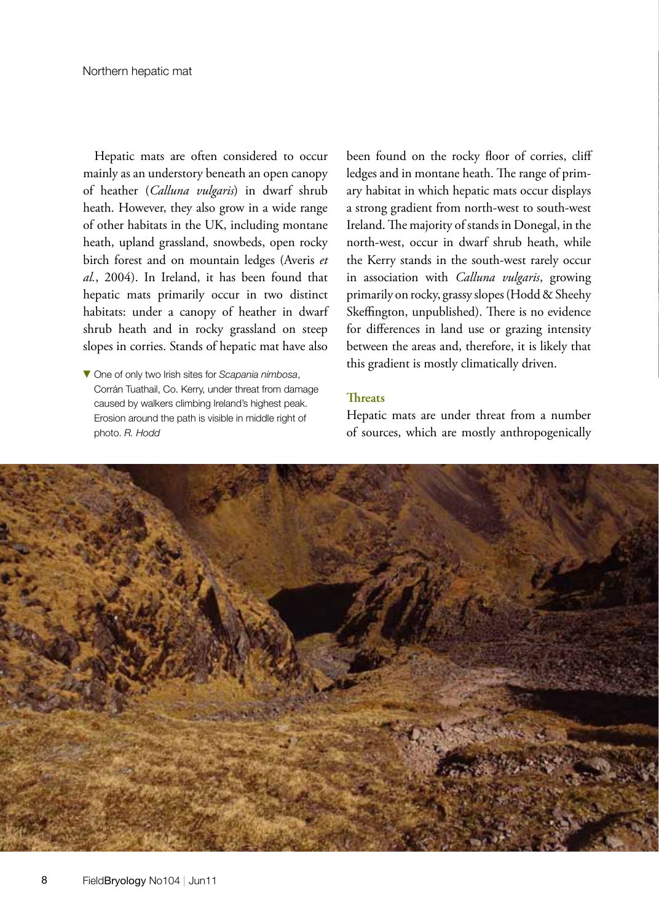Hepatic mats are often considered to occur mainly as an understory beneath an open canopy of heather (*Calluna vulgaris*) in dwarf shrub heath. However, they also grow in a wide range of other habitats in the UK, including montane heath, upland grassland, snowbeds, open rocky birch forest and on mountain ledges (Averis *et al.*, 2004). In Ireland, it has been found that hepatic mats primarily occur in two distinct habitats: under a canopy of heather in dwarf shrub heath and in rocky grassland on steep slopes in corries. Stands of hepatic mat have also

 $\blacktriangledown$  One of only two Irish sites for *Scapania nimbosa*, Corrán Tuathail, Co. Kerry, under threat from damage caused by walkers climbing Ireland's highest peak. Erosion around the path is visible in middle right of photo. *R. Hodd*

been found on the rocky floor of corries, cliff ledges and in montane heath. The range of primary habitat in which hepatic mats occur displays a strong gradient from north-west to south-west Ireland.The majority of stands in Donegal, in the north-west, occur in dwarf shrub heath, while the Kerry stands in the south-west rarely occur in association with *Calluna vulgaris*, growing primarily on rocky, grassy slopes(Hodd & Sheehy Skeffington, unpublished). There is no evidence for differences in land use or grazing intensity between the areas and, therefore, it is likely that this gradient is mostly climatically driven.

## **Threats**

Hepatic mats are under threat from a number of sources, which are mostly anthropogenically

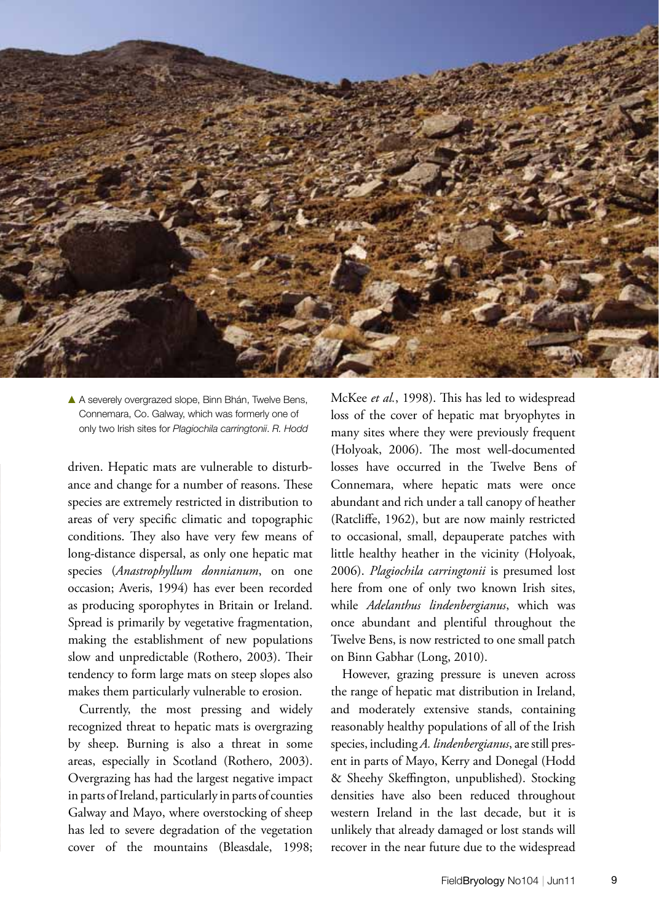

A A severely overgrazed slope, Binn Bhán, Twelve Bens, Connemara, Co. Galway, which was formerly one of only two Irish sites for *Plagiochila carringtonii*. *R. Hodd*

driven. Hepatic mats are vulnerable to disturbance and change for a number of reasons. These species are extremely restricted in distribution to areas of very specific climatic and topographic conditions. They also have very few means of long-distance dispersal, as only one hepatic mat species (*Anastrophyllum donnianum*, on one occasion; Averis, 1994) has ever been recorded as producing sporophytes in Britain or Ireland. Spread is primarily by vegetative fragmentation, making the establishment of new populations slow and unpredictable (Rothero, 2003). Their tendency to form large mats on steep slopes also makes them particularly vulnerable to erosion.

 Currently, the most pressing and widely recognized threat to hepatic mats is overgrazing by sheep. Burning is also a threat in some areas, especially in Scotland (Rothero, 2003). Overgrazing has had the largest negative impact in parts of Ireland, particularly in parts of counties Galway and Mayo, where overstocking of sheep has led to severe degradation of the vegetation cover of the mountains (Bleasdale, 1998;

McKee *et al.*, 1998). This has led to widespread loss of the cover of hepatic mat bryophytes in many sites where they were previously frequent (Holyoak, 2006). The most well-documented losses have occurred in the Twelve Bens of Connemara, where hepatic mats were once abundant and rich under a tall canopy of heather (Ratcliffe, 1962), but are now mainly restricted to occasional, small, depauperate patches with little healthy heather in the vicinity (Holyoak, 2006). *Plagiochila carringtonii* is presumed lost here from one of only two known Irish sites, while *Adelanthus lindenbergianus*, which was once abundant and plentiful throughout the Twelve Bens, is now restricted to one small patch on Binn Gabhar (Long, 2010).

 However, grazing pressure is uneven across the range of hepatic mat distribution in Ireland, and moderately extensive stands, containing reasonably healthy populations of all of the Irish species, including A. lindenbergianus, are still present in parts of Mayo, Kerry and Donegal (Hodd & Sheehy Skeffington, unpublished). Stocking densities have also been reduced throughout western Ireland in the last decade, but it is unlikely that already damaged or lost stands will recover in the near future due to the widespread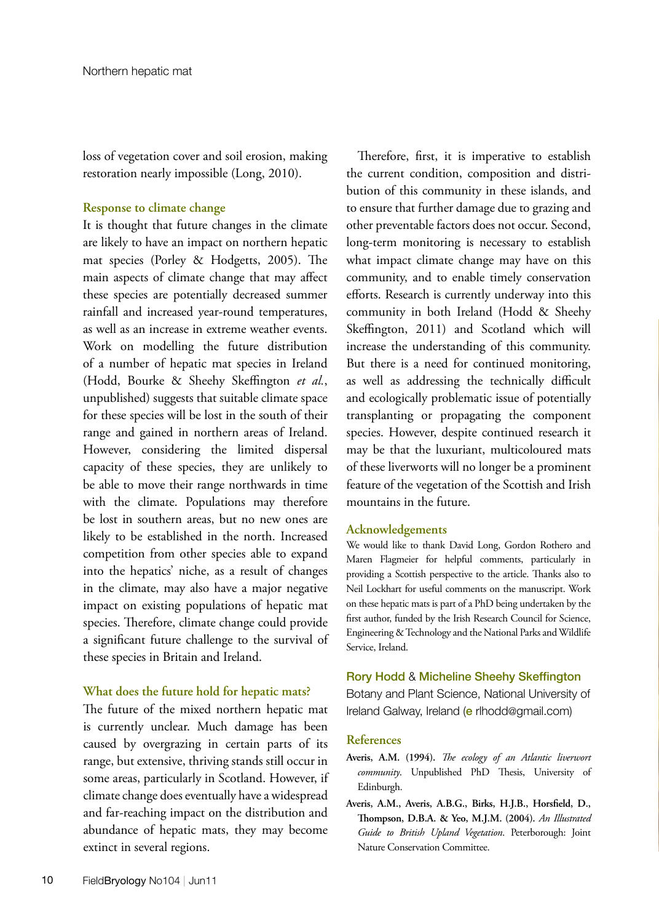loss of vegetation cover and soil erosion, making restoration nearly impossible (Long, 2010).

## **Response to climate change**

It is thought that future changes in the climate are likely to have an impact on northern hepatic mat species (Porley & Hodgetts, 2005). The main aspects of climate change that may affect these species are potentially decreased summer rainfall and increased year-round temperatures, as well as an increase in extreme weather events. Work on modelling the future distribution of a number of hepatic mat species in Ireland (Hodd, Bourke & Sheehy Skeffington *et al.*, unpublished) suggests that suitable climate space for these species will be lost in the south of their range and gained in northern areas of Ireland. However, considering the limited dispersal capacity of these species, they are unlikely to be able to move their range northwards in time with the climate. Populations may therefore be lost in southern areas, but no new ones are likely to be established in the north. Increased competition from other species able to expand into the hepatics' niche, as a result of changes in the climate, may also have a major negative impact on existing populations of hepatic mat species. Therefore, climate change could provide a significant future challenge to the survival of these species in Britain and Ireland.

## **What does the future hold for hepatic mats?**

The future of the mixed northern hepatic mat is currently unclear. Much damage has been caused by overgrazing in certain parts of its range, but extensive, thriving stands still occur in some areas, particularly in Scotland. However, if climate change does eventually have a widespread and far-reaching impact on the distribution and abundance of hepatic mats, they may become extinct in several regions.

 Therefore, first, it is imperative to establish the current condition, composition and distribution of this community in these islands, and to ensure that further damage due to grazing and other preventable factors does not occur. Second, long-term monitoring is necessary to establish what impact climate change may have on this community, and to enable timely conservation efforts. Research is currently underway into this community in both Ireland (Hodd & Sheehy Skeffington, 2011) and Scotland which will increase the understanding of this community. But there is a need for continued monitoring, as well as addressing the technically difficult and ecologically problematic issue of potentially transplanting or propagating the component species. However, despite continued research it may be that the luxuriant, multicoloured mats of these liverworts will no longer be a prominent feature of the vegetation of the Scottish and Irish mountains in the future.

#### **Acknowledgements**

We would like to thank David Long, Gordon Rothero and Maren Flagmeier for helpful comments, particularly in providing a Scottish perspective to the article. Thanks also to Neil Lockhart for useful comments on the manuscript. Work on these hepatic mats is part of a PhD being undertaken by the first author, funded by the Irish Research Council for Science, Engineering & Technology and the National Parks and Wildlife Service, Ireland.

#### Rory Hodd & Micheline Sheehy Skeffington

Botany and Plant Science, National University of Ireland Galway, Ireland (e rlhodd@gmail.com)

#### **References**

- **Averis, A.M. (1994).** *The ecology of an Atlantic liverwort community*. Unpublished PhD Thesis, University of Edinburgh.
- **Averis, A.M., Averis, A.B.G., Birks, H.J.B., Horsfield, D., Thompson, D.B.A. & Yeo, M.J.M. (2004).** *An Illustrated Guide to British Upland Vegetation*. Peterborough: Joint Nature Conservation Committee.